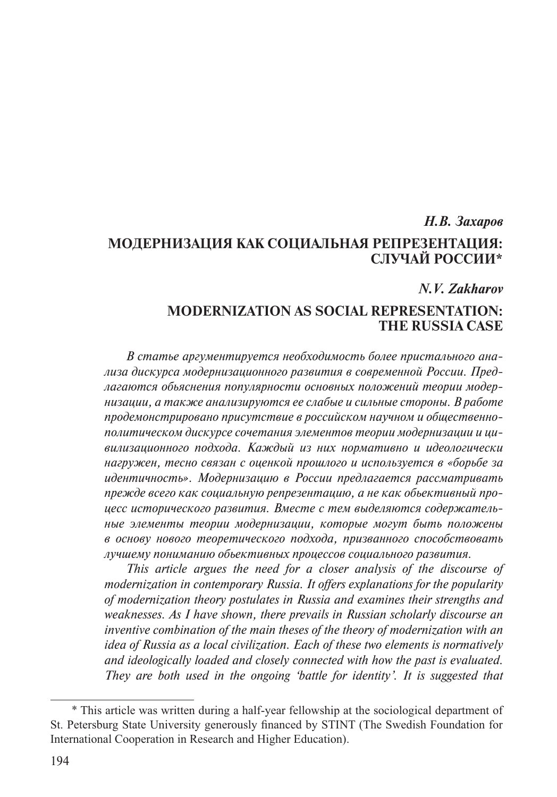# *Н.В. Захаров* **МОДЕРНИЗАЦИЯ КАК СОЦИАЛЬНАЯ РЕПРЕЗЕНТАЦИЯ: СЛУЧАЙ РОССИИ\***

## *N.V. Zakharov*

## **MODERNIZATION AS SOCIAL REPRESENTATION: THE RUSSIA CASE**

*В статье аргументируется необходимость более пристального анализа дискурса модернизационного развития в современной России. Предлагаются обьяснения популярности основных положений теории модернизации, а также анализируются ее слабые и сильные стороны. В работе продемонстрировано присутствие в российском научном и общественнополитическом дискурсе сочетания элементов теории модернизации и цивилизационного подхода. Каждый из них нормативно и идеологически нагружен, тесно связан с оценкой прошлого и используется в «борьбе за идентичность». Модернизацию в России предлагается рассматривать прежде всего как социальную репрезентацию, а не как обьективный процесс исторического развития. Вместе с тем выделяются содержательные элементы теории модернизации, которые могут быть положены в основу нового теоретического подхода, призванного способствовать лучшему пониманию обьективных процессов социального развития.*

*This article argues the need for a closer analysis of the discourse of modernization in contemporary Russia. It offers explanations for the popularity of modernization theory postulates in Russia and examines their strengths and weaknesses. As I have shown, there prevails in Russian scholarly discourse an inventive combination of the main theses of the theory of modernization with an idea of Russia as a local civilization. Each of these two elements is normatively and ideologically loaded and closely connected with how the past is evaluated. They are both used in the ongoing 'battle for identity'. It is suggested that* 

<sup>\*</sup> This article was written during a half-year fellowship at the sociological department of St. Petersburg State University generously financed by STINT (The Swedish Foundation for International Cooperation in Research and Higher Education).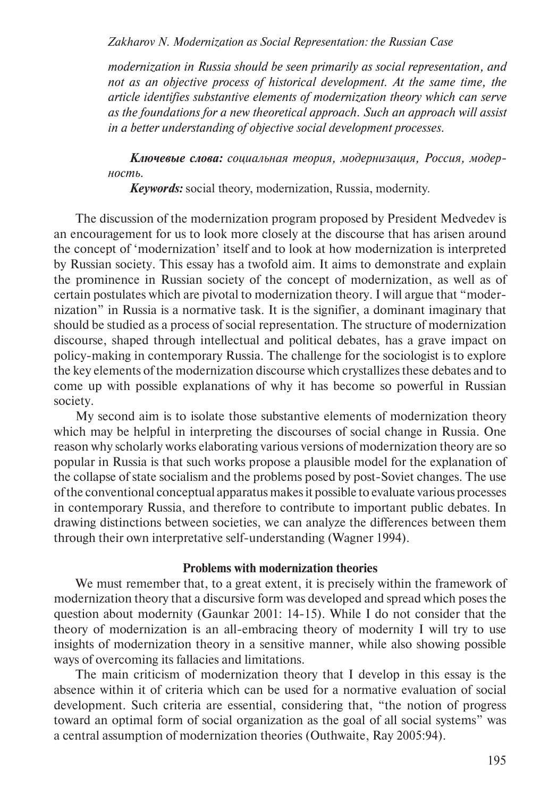*Zakharov N. Modernization as Social Representation: the Russian Case*

*modernization in Russia should be seen primarily as social representation, and not as an objective process of historical development. At the same time, the article identifies substantive elements of modernization theory which can serve as the foundations for a new theoretical approach. Such an approach will assist in a better understanding of objective social development processes.*

*Ключевые слова: социальная теория, модернизация, Россия, модерность.*

*Keywords:* social theory, modernization, Russia, modernity.

The discussion of the modernization program proposed by President Medvedev is an encouragement for us to look more closely at the discourse that has arisen around the concept of 'modernization' itself and to look at how modernization is interpreted by Russian society. This essay has a twofold aim. It aims to demonstrate and explain the prominence in Russian society of the concept of modernization, as well as of certain postulates which are pivotal to modernization theory. I will argue that "modernization" in Russia is a normative task. It is the signifier, a dominant imaginary that should be studied as a process of social representation. The structure of modernization discourse, shaped through intellectual and political debates, has a grave impact on policy-making in contemporary Russia. The challenge for the sociologist is to explore the key elements of the modernization discourse which crystallizes these debates and to come up with possible explanations of why it has become so powerful in Russian society.

My second aim is to isolate those substantive elements of modernization theory which may be helpful in interpreting the discourses of social change in Russia. One reason why scholarly works elaborating various versions of modernization theory are so popular in Russia is that such works propose a plausible model for the explanation of the collapse of state socialism and the problems posed by post-Soviet changes. The use of the conventional conceptual apparatus makes it possible to evaluate various processes in contemporary Russia, and therefore to contribute to important public debates. In drawing distinctions between societies, we can analyze the differences between them through their own interpretative self-understanding (Wagner 1994).

## **Problems with modernization theories**

We must remember that, to a great extent, it is precisely within the framework of modernization theory that a discursive form was developed and spread which poses the question about modernity (Gaunkar 2001: 14-15). While I do not consider that the theory of modernization is an all-embracing theory of modernity I will try to use insights of modernization theory in a sensitive manner, while also showing possible ways of overcoming its fallacies and limitations.

The main criticism of modernization theory that I develop in this essay is the absence within it of criteria which can be used for a normative evaluation of social development. Such criteria are essential, considering that, "the notion of progress toward an optimal form of social organization as the goal of all social systems" was a central assumption of modernization theories (Outhwaite, Ray 2005:94).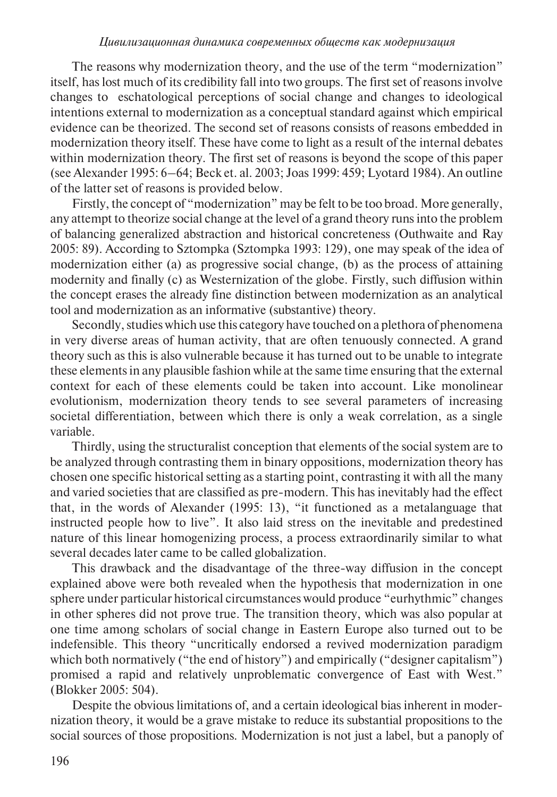The reasons why modernization theory, and the use of the term "modernization" itself, has lost much of its credibility fall into two groups. The first set of reasons involve changes to eschatological perceptions of social change and changes to ideological intentions external to modernization as a conceptual standard against which empirical evidence can be theorized. The second set of reasons consists of reasons embedded in modernization theory itself. These have come to light as a result of the internal debates within modernization theory. The first set of reasons is beyond the scope of this paper (see Alexander 1995: 6–64; Beck et. al. 2003; Joas 1999: 459; Lyotard 1984). An outline of the latter set of reasons is provided below.

Firstly, the concept of "modernization" may be felt to be too broad. More generally, any attempt to theorize social change at the level of a grand theory runs into the problem of balancing generalized abstraction and historical concreteness (Outhwaite and Ray 2005: 89). According to Sztompka (Sztompka 1993: 129), one may speak of the idea of modernization either (a) as progressive social change, (b) as the process of attaining modernity and finally (c) as Westernization of the globe. Firstly, such diffusion within the concept erases the already fine distinction between modernization as an analytical tool and modernization as an informative (substantive) theory.

Secondly, studies which use this category have touched on a plethora of phenomena in very diverse areas of human activity, that are often tenuously connected. A grand theory such as this is also vulnerable because it has turned out to be unable to integrate these elements in any plausible fashion while at the same time ensuring that the external context for each of these elements could be taken into account. Like monolinear evolutionism, modernization theory tends to see several parameters of increasing societal differentiation, between which there is only a weak correlation, as a single variable.

Thirdly, using the structuralist conception that elements of the social system are to be analyzed through contrasting them in binary oppositions, modernization theory has chosen one specific historical setting as a starting point, contrasting it with all the many and varied societies that are classified as pre-modern. This has inevitably had the effect that, in the words of Alexander (1995: 13), "it functioned as a metalanguage that instructed people how to live". It also laid stress on the inevitable and predestined nature of this linear homogenizing process, a process extraordinarily similar to what several decades later came to be called globalization.

This drawback and the disadvantage of the three-way diffusion in the concept explained above were both revealed when the hypothesis that modernization in one sphere under particular historical circumstances would produce "eurhythmic" changes in other spheres did not prove true. The transition theory, which was also popular at one time among scholars of social change in Eastern Europe also turned out to be indefensible. This theory "uncritically endorsed a revived modernization paradigm which both normatively ("the end of history") and empirically ("designer capitalism") promised a rapid and relatively unproblematic convergence of East with West." (Blokker 2005: 504).

Despite the obvious limitations of, and a certain ideological bias inherent in modernization theory, it would be a grave mistake to reduce its substantial propositions to the social sources of those propositions. Modernization is not just a label, but a panoply of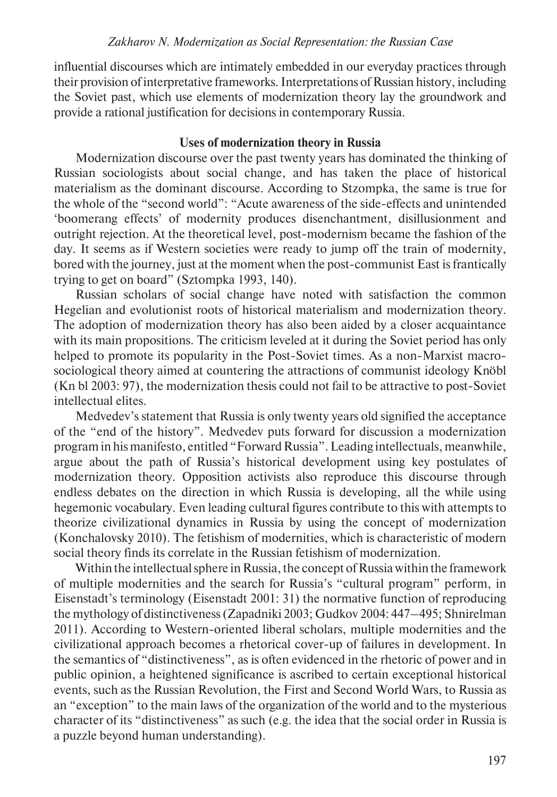influential discourses which are intimately embedded in our everyday practices through their provision of interpretative frameworks. Interpretations of Russian history, including the Soviet past, which use elements of modernization theory lay the groundwork and provide a rational justification for decisions in contemporary Russia.

## **Uses of modernization theory in Russia**

Modernization discourse over the past twenty years has dominated the thinking of Russian sociologists about social change, and has taken the place of historical materialism as the dominant discourse. According to Stzompka, the same is true for the whole of the "second world": "Acute awareness of the side-effects and unintended 'boomerang effects' of modernity produces disenchantment, disillusionment and outright rejection. At the theoretical level, post-modernism became the fashion of the day. It seems as if Western societies were ready to jump off the train of modernity, bored with the journey, just at the moment when the post-communist East is frantically trying to get on board" (Sztompka 1993, 140).

Russian scholars of social change have noted with satisfaction the common Hegelian and evolutionist roots of historical materialism and modernization theory. The adoption of modernization theory has also been aided by a closer acquaintance with its main propositions. The criticism leveled at it during the Soviet period has only helped to promote its popularity in the Post-Soviet times. As a non-Marxist macrosociological theory aimed at countering the attractions of communist ideology Knöbl (Kn bl 2003: 97), the modernization thesis could not fail to be attractive to post-Soviet intellectual elites.

Medvedev's statement that Russia is only twenty years old signified the acceptance of the "end of the history". Medvedev puts forward for discussion a modernization program in his manifesto, entitled "Forward Russia". Leading intellectuals, meanwhile, argue about the path of Russia's historical development using key postulates of modernization theory. Opposition activists also reproduce this discourse through endless debates on the direction in which Russia is developing, all the while using hegemonic vocabulary. Even leading cultural figures contribute to this with attempts to theorize civilizational dynamics in Russia by using the concept of modernization (Konchalovsky 2010). The fetishism of modernities, which is characteristic of modern social theory finds its correlate in the Russian fetishism of modernization.

Within the intellectual sphere in Russia, the concept of Russia within the framework of multiple modernities and the search for Russia's "cultural program" perform, in Eisenstadt's terminology (Eisenstadt 2001: 31) the normative function of reproducing the mythology of distinctiveness (Zapadniki 2003; Gudkov 2004: 447–495; Shnirelman 2011). According to Western-oriented liberal scholars, multiple modernities and the civilizational approach becomes a rhetorical cover-up of failures in development. In the semantics of "distinctiveness", as is often evidenced in the rhetoric of power and in public opinion, a heightened significance is ascribed to certain exceptional historical events, such as the Russian Revolution, the First and Second World Wars, to Russia as an "exception" to the main laws of the organization of the world and to the mysterious character of its "distinctiveness" as such (e.g. the idea that the social order in Russia is a puzzle beyond human understanding).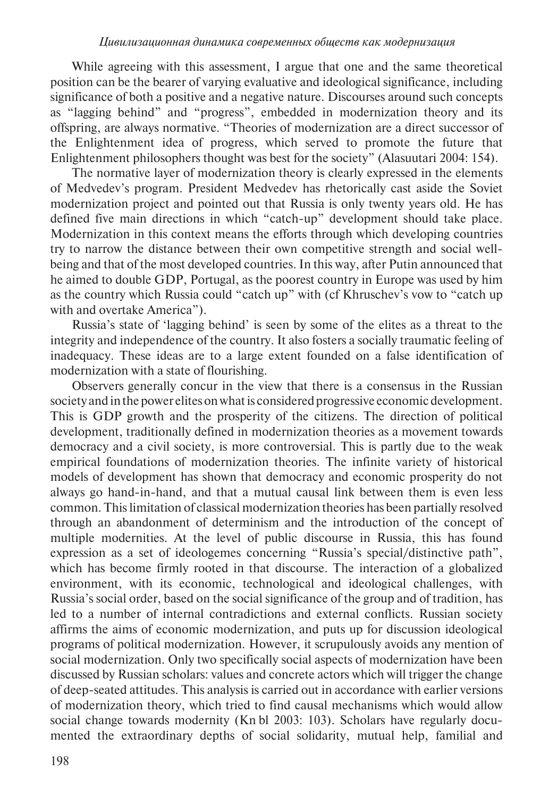While agreeing with this assessment, I argue that one and the same theoretical position can be the bearer of varying evaluative and ideological significance, including significance of both a positive and a negative nature. Discourses around such concepts as "lagging behind" and "progress", embedded in modernization theory and its offspring, are always normative. "Theories of modernization are a direct successor of the Enlightenment idea of progress, which served to promote the future that Enlightenment philosophers thought was best for the society" (Alasuutari 2004: 154).

The normative layer of modernization theory is clearly expressed in the elements of Medvedev's program. President Medvedev has rhetorically cast aside the Soviet modernization project and pointed out that Russia is only twenty years old. He has defined five main directions in which "catch-up" development should take place. Modernization in this context means the efforts through which developing countries try to narrow the distance between their own competitive strength and social wellbeing and that of the most developed countries. In this way, after Putin announced that he aimed to double GDP, Portugal, as the poorest country in Europe was used by him as the country which Russia could "catch up" with (cf Khruschev's vow to "catch up with and overtake America").

Russia's state of 'lagging behind' is seen by some of the elites as a threat to the integrity and independence of the country. It also fosters a socially traumatic feeling of inadequacy. These ideas are to a large extent founded on a false identification of modernization with a state of flourishing.

Observers generally concur in the view that there is a consensus in the Russian society and in the power elites on what is considered progressive economic development. This is GDP growth and the prosperity of the citizens. The direction of political development, traditionally defined in modernization theories as a movement towards democracy and a civil society, is more controversial. This is partly due to the weak empirical foundations of modernization theories. The infinite variety of historical models of development has shown that democracy and economic prosperity do not always go hand-in-hand, and that a mutual causal link between them is even less common. This limitation of classical modernization theories has been partially resolved through an abandonment of determinism and the introduction of the concept of multiple modernities. At the level of public discourse in Russia, this has found expression as a set of ideologemes concerning "Russia's special/distinctive path", which has become firmly rooted in that discourse. The interaction of a globalized environment, with its economic, technological and ideological challenges, with Russia's social order, based on the social significance of the group and of tradition, has led to a number of internal contradictions and external conflicts. Russian society affirms the aims of economic modernization, and puts up for discussion ideological programs of political modernization. However, it scrupulously avoids any mention of social modernization. Only two specifically social aspects of modernization have been discussed by Russian scholars: values and concrete actors which will trigger the change of deep-seated attitudes. This analysis is carried out in accordance with earlier versions of modernization theory, which tried to find causal mechanisms which would allow social change towards modernity (Kn bl 2003: 103). Scholars have regularly documented the extraordinary depths of social solidarity, mutual help, familial and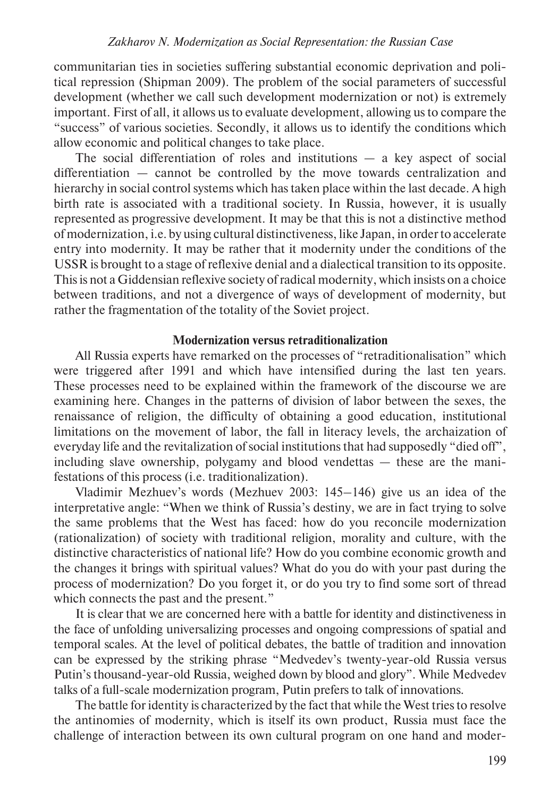communitarian ties in societies suffering substantial economic deprivation and political repression (Shipman 2009). The problem of the social parameters of successful development (whether we call such development modernization or not) is extremely important. First of all, it allows us to evaluate development, allowing us to compare the "success" of various societies. Secondly, it allows us to identify the conditions which allow economic and political changes to take place.

The social differentiation of roles and institutions  $-$  a key aspect of social differentiation — cannot be controlled by the move towards centralization and hierarchy in social control systems which has taken place within the last decade. A high birth rate is associated with a traditional society. In Russia, however, it is usually represented as progressive development. It may be that this is not a distinctive method of modernization, i.e. by using cultural distinctiveness, like Japan, in order to accelerate entry into modernity. It may be rather that it modernity under the conditions of the USSR is brought to a stage of reflexive denial and a dialectical transition to its opposite. This is not a Giddensian reflexive society of radical modernity, which insists on a choice between traditions, and not a divergence of ways of development of modernity, but rather the fragmentation of the totality of the Soviet project.

## **Modernization versus retraditionalization**

All Russia experts have remarked on the processes of "retraditionalisation" which were triggered after 1991 and which have intensified during the last ten years. These processes need to be explained within the framework of the discourse we are examining here. Changes in the patterns of division of labor between the sexes, the renaissance of religion, the difficulty of obtaining a good education, institutional limitations on the movement of labor, the fall in literacy levels, the archaization of everyday life and the revitalization of social institutions that had supposedly "died off", including slave ownership, polygamy and blood vendettas — these are the manifestations of this process (i.e. traditionalization).

Vladimir Mezhuev's words (Mezhuev 2003: 145–146) give us an idea of the interpretative angle: "When we think of Russia's destiny, we are in fact trying to solve the same problems that the West has faced: how do you reconcile modernization (rationalization) of society with traditional religion, morality and culture, with the distinctive characteristics of national life? How do you combine economic growth and the changes it brings with spiritual values? What do you do with your past during the process of modernization? Do you forget it, or do you try to find some sort of thread which connects the past and the present."

It is clear that we are concerned here with a battle for identity and distinctiveness in the face of unfolding universalizing processes and ongoing compressions of spatial and temporal scales. At the level of political debates, the battle of tradition and innovation can be expressed by the striking phrase "Medvedev's twenty-year-old Russia versus Putin's thousand-year-old Russia, weighed down by blood and glory". While Medvedev talks of a full-scale modernization program, Putin prefers to talk of innovations.

The battle for identity is characterized by the fact that while the West tries to resolve the antinomies of modernity, which is itself its own product, Russia must face the challenge of interaction between its own cultural program on one hand and moder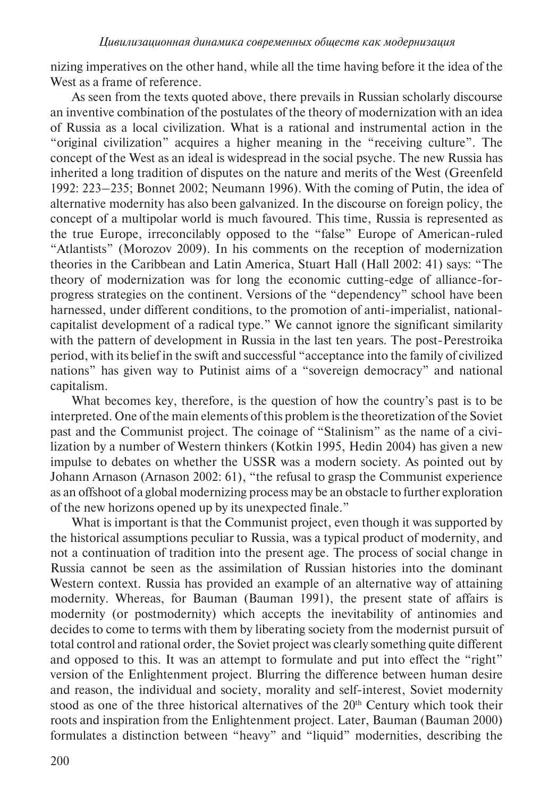nizing imperatives on the other hand, while all the time having before it the idea of the West as a frame of reference.

As seen from the texts quoted above, there prevails in Russian scholarly discourse an inventive combination of the postulates of the theory of modernization with an idea of Russia as a local civilization. What is a rational and instrumental action in the "original civilization" acquires a higher meaning in the "receiving culture". The concept of the West as an ideal is widespread in the social psyche. The new Russia has inherited a long tradition of disputes on the nature and merits of the West (Greenfeld 1992: 223–235; Bonnet 2002; Neumann 1996). With the coming of Putin, the idea of alternative modernity has also been galvanized. In the discourse on foreign policy, the concept of a multipolar world is much favoured. This time, Russia is represented as the true Europe, irreconcilably opposed to the "false" Europe of American-ruled "Atlantists" (Morozov 2009). In his comments on the reception of modernization theories in the Caribbean and Latin America, Stuart Hall (Hall 2002: 41) says: "The theory of modernization was for long the economic cutting-edge of alliance-forprogress strategies on the continent. Versions of the "dependency" school have been harnessed, under different conditions, to the promotion of anti-imperialist, nationalcapitalist development of a radical type." We cannot ignore the significant similarity with the pattern of development in Russia in the last ten years. The post-Perestroika period, with its belief in the swift and successful "acceptance into the family of civilized nations" has given way to Putinist aims of a "sovereign democracy" and national capitalism.

What becomes key, therefore, is the question of how the country's past is to be interpreted. One of the main elements of this problem is the theoretization of the Soviet past and the Communist project. The coinage of "Stalinism" as the name of a civilization by a number of Western thinkers (Kotkin 1995, Hedin 2004) has given a new impulse to debates on whether the USSR was a modern society. As pointed out by Johann Arnason (Arnason 2002: 61), "the refusal to grasp the Communist experience as an offshoot of a global modernizing process may be an obstacle to further exploration of the new horizons opened up by its unexpected finale."

What is important is that the Communist project, even though it was supported by the historical assumptions peculiar to Russia, was a typical product of modernity, and not a continuation of tradition into the present age. The process of social change in Russia cannot be seen as the assimilation of Russian histories into the dominant Western context. Russia has provided an example of an alternative way of attaining modernity. Whereas, for Bauman (Bauman 1991), the present state of affairs is modernity (or postmodernity) which accepts the inevitability of antinomies and decides to come to terms with them by liberating society from the modernist pursuit of total control and rational order, the Soviet project was clearly something quite different and opposed to this. It was an attempt to formulate and put into effect the "right" version of the Enlightenment project. Blurring the difference between human desire and reason, the individual and society, morality and self-interest, Soviet modernity stood as one of the three historical alternatives of the 20<sup>th</sup> Century which took their roots and inspiration from the Enlightenment project. Later, Bauman (Bauman 2000) formulates a distinction between "heavy" and "liquid" modernities, describing the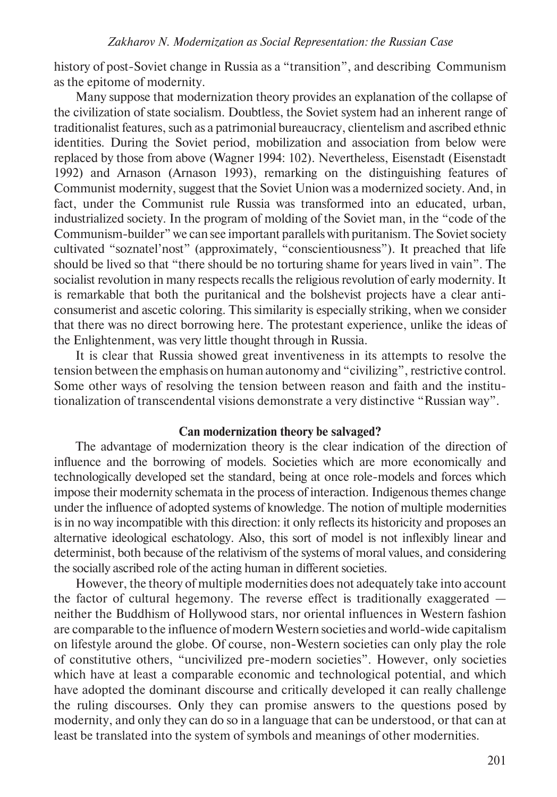history of post-Soviet change in Russia as a "transition", and describing Communism as the epitome of modernity.

Many suppose that modernization theory provides an explanation of the collapse of the civilization of state socialism. Doubtless, the Soviet system had an inherent range of traditionalist features, such as a patrimonial bureaucracy, clientelism and ascribed ethnic identities. During the Soviet period, mobilization and association from below were replaced by those from above (Wagner 1994: 102). Nevertheless, Eisenstadt (Eisenstadt 1992) and Arnason (Arnason 1993), remarking on the distinguishing features of Communist modernity, suggest that the Soviet Union was a modernized society. And, in fact, under the Communist rule Russia was transformed into an educated, urban, industrialized society. In the program of molding of the Soviet man, in the "code of the Communism-builder" we can see important parallels with puritanism. The Soviet society cultivated "soznatel'nost" (approximately, "conscientiousness"). It preached that life should be lived so that "there should be no torturing shame for years lived in vain". The socialist revolution in many respects recalls the religious revolution of early modernity. It is remarkable that both the puritanical and the bolshevist projects have a clear anticonsumerist and ascetic coloring. This similarity is especially striking, when we consider that there was no direct borrowing here. The protestant experience, unlike the ideas of the Enlightenment, was very little thought through in Russia.

It is clear that Russia showed great inventiveness in its attempts to resolve the tension between the emphasis on human autonomy and "civilizing", restrictive control. Some other ways of resolving the tension between reason and faith and the institutionalization of transcendental visions demonstrate a very distinctive "Russian way".

## **Can modernization theory be salvaged?**

The advantage of modernization theory is the clear indication of the direction of influence and the borrowing of models. Societies which are more economically and technologically developed set the standard, being at once role-models and forces which impose their modernity schemata in the process of interaction. Indigenous themes change under the influence of adopted systems of knowledge. The notion of multiple modernities is in no way incompatible with this direction: it only reflects its historicity and proposes an alternative ideological eschatology. Also, this sort of model is not inflexibly linear and determinist, both because of the relativism of the systems of moral values, and considering the socially ascribed role of the acting human in different societies.

However, the theory of multiple modernities does not adequately take into account the factor of cultural hegemony. The reverse effect is traditionally exaggerated neither the Buddhism of Hollywood stars, nor oriental influences in Western fashion are comparable to the influence of modern Western societies and world-wide capitalism on lifestyle around the globe. Of course, non-Western societies can only play the role of constitutive others, "uncivilized pre-modern societies". However, only societies which have at least a comparable economic and technological potential, and which have adopted the dominant discourse and critically developed it can really challenge the ruling discourses. Only they can promise answers to the questions posed by modernity, and only they can do so in a language that can be understood, or that can at least be translated into the system of symbols and meanings of other modernities.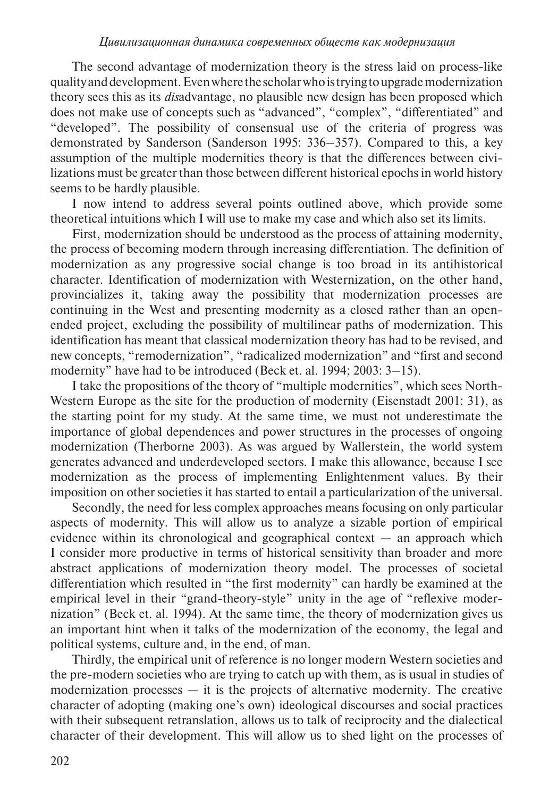The second advantage of modernization theory is the stress laid on process-like quality and development. Even where the scholar who is trying to upgrade modernization theory sees this as its *dis*advantage, no plausible new design has been proposed which does not make use of concepts such as "advanced", "complex", "differentiated" and "developed". The possibility of consensual use of the criteria of progress was demonstrated by Sanderson (Sanderson 1995: 336–357). Compared to this, a key assumption of the multiple modernities theory is that the differences between civilizations must be greater than those between different historical epochs in world history seems to be hardly plausible.

I now intend to address several points outlined above, which provide some theoretical intuitions which I will use to make my case and which also set its limits.

First, modernization should be understood as the process of attaining modernity, the process of becoming modern through increasing differentiation. The definition of modernization as any progressive social change is too broad in its antihistorical character. Identification of modernization with Westernization, on the other hand, provincializes it, taking away the possibility that modernization processes are continuing in the West and presenting modernity as a closed rather than an openended project, excluding the possibility of multilinear paths of modernization. This identification has meant that classical modernization theory has had to be revised, and new concepts, "remodernization", "radicalized modernization" and "first and second modernity" have had to be introduced (Beck et. al. 1994; 2003: 3–15).

I take the propositions of the theory of "multiple modernities", which sees North-Western Europe as the site for the production of modernity (Eisenstadt 2001: 31), as the starting point for my study. At the same time, we must not underestimate the importance of global dependences and power structures in the processes of ongoing modernization (Therborne 2003). As was argued by Wallerstein, the world system generates advanced and underdeveloped sectors. I make this allowance, because I see modernization as the process of implementing Enlightenment values. By their imposition on other societies it has started to entail a particularization of the universal.

Secondly, the need for less complex approaches means focusing on only particular aspects of modernity. This will allow us to analyze a sizable portion of empirical evidence within its chronological and geographical context — an approach which I consider more productive in terms of historical sensitivity than broader and more abstract applications of modernization theory model. The processes of societal differentiation which resulted in "the first modernity" can hardly be examined at the empirical level in their "grand-theory-style" unity in the age of "reflexive modernization" (Beck et. al. 1994). At the same time, the theory of modernization gives us an important hint when it talks of the modernization of the economy, the legal and political systems, culture and, in the end, of man.

Thirdly, the empirical unit of reference is no longer modern Western societies and the pre-modern societies who are trying to catch up with them, as is usual in studies of modernization processes  $-$  it is the projects of alternative modernity. The creative character of adopting (making one's own) ideological discourses and social practices with their subsequent retranslation, allows us to talk of reciprocity and the dialectical character of their development. This will allow us to shed light on the processes of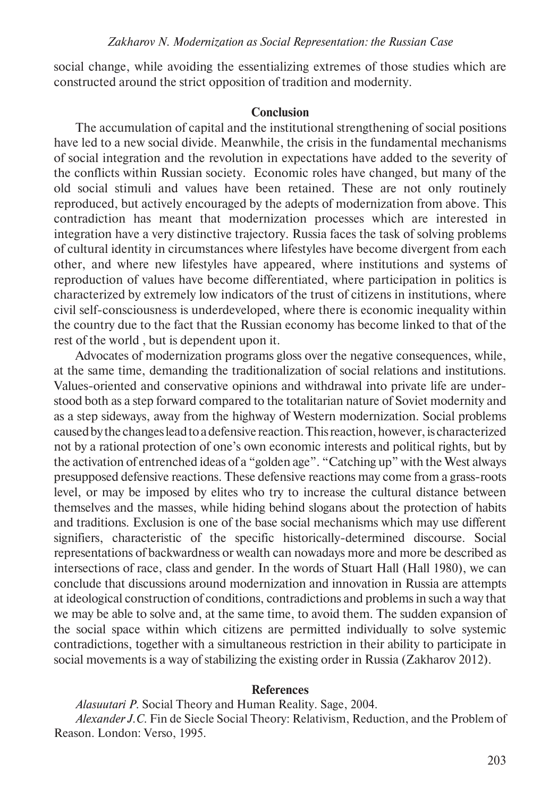social change, while avoiding the essentializing extremes of those studies which are constructed around the strict opposition of tradition and modernity.

#### **Conclusion**

The accumulation of capital and the institutional strengthening of social positions have led to a new social divide. Meanwhile, the crisis in the fundamental mechanisms of social integration and the revolution in expectations have added to the severity of the conflicts within Russian society. Economic roles have changed, but many of the old social stimuli and values have been retained. These are not only routinely reproduced, but actively encouraged by the adepts of modernization from above. This contradiction has meant that modernization processes which are interested in integration have a very distinctive trajectory. Russia faces the task of solving problems of cultural identity in circumstances where lifestyles have become divergent from each other, and where new lifestyles have appeared, where institutions and systems of reproduction of values have become differentiated, where participation in politics is characterized by extremely low indicators of the trust of citizens in institutions, where civil self-consciousness is underdeveloped, where there is economic inequality within the country due to the fact that the Russian economy has become linked to that of the rest of the world , but is dependent upon it.

Advocates of modernization programs gloss over the negative consequences, while, at the same time, demanding the traditionalization of social relations and institutions. Values-oriented and conservative opinions and withdrawal into private life are understood both as a step forward compared to the totalitarian nature of Soviet modernity and as a step sideways, away from the highway of Western modernization. Social problems caused by the changes lead to a defensive reaction. This reaction, however, is characterized not by a rational protection of one's own economic interests and political rights, but by the activation of entrenched ideas of a "golden age". "Catching up" with the West always presupposed defensive reactions. These defensive reactions may come from a grass-roots level, or may be imposed by elites who try to increase the cultural distance between themselves and the masses, while hiding behind slogans about the protection of habits and traditions. Exclusion is one of the base social mechanisms which may use different signifiers, characteristic of the specific historically-determined discourse. Social representations of backwardness or wealth can nowadays more and more be described as intersections of race, class and gender. In the words of Stuart Hall (Hall 1980), we can conclude that discussions around modernization and innovation in Russia are attempts at ideological construction of conditions, contradictions and problems in such a way that we may be able to solve and, at the same time, to avoid them. The sudden expansion of the social space within which citizens are permitted individually to solve systemic contradictions, together with a simultaneous restriction in their ability to participate in social movements is a way of stabilizing the existing order in Russia (Zakharov 2012).

#### **References**

*Alasuutari P.* Social Theory and Human Reality. Sage, 2004.

*Alexander J.C.* Fin de Siecle Social Theory: Relativism, Reduction, and the Problem of Reason. London: Verso, 1995.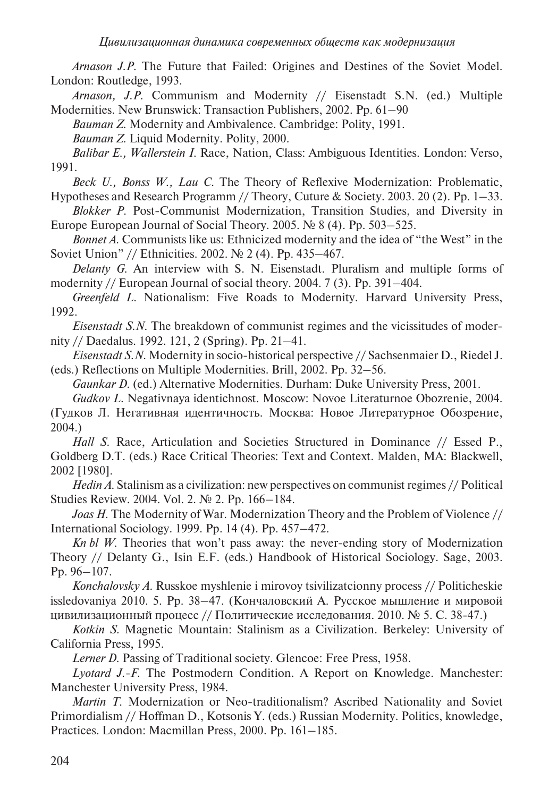*Arnason J.P.* The Future that Failed: Origines and Destines of the Soviet Model. London: Routledge, 1993.

*Arnason, J.P.* Communism and Modernity // Eisenstadt S.N. (ed.) Multiple Modernities. New Brunswick: Transaction Publishers, 2002. Pp. 61–90

*Bauman Z.* Modernity and Ambivalence. Cambridge: Polity, 1991.

*Bauman Z.* Liquid Modernity. Polity, 2000.

*Balibar E., Wallerstein I.* Race, Nation, Class: Ambiguous Identities. London: Verso, 1991.

*Beck U., Bonss W., Lau C.* The Theory of Reflexive Modernization: Problematic, Hypotheses and Research Programm // Theory, Cuture & Society. 2003. 20 (2). Pp. 1–33.

*Blokker P.* Post-Communist Modernization, Transition Studies, and Diversity in Europe European Journal of Social Theory. 2005. № 8 (4). Pp. 503–525.

*Bonnet A.* Communists like us: Ethnicized modernity and the idea of "the West" in the Soviet Union" // Ethnicities. 2002. № 2 (4). Pp. 435–467.

*Delanty G.* An interview with S. N. Eisenstadt. Pluralism and multiple forms of modernity // European Journal of social theory. 2004. 7 (3). Pp. 391–404.

*Greenfeld L.* Nationalism: Five Roads to Modernity. Harvard University Press, 1992.

*Eisenstadt S.N.* The breakdown of communist regimes and the vicissitudes of modernity // Daedalus. 1992. 121, 2 (Spring). Pp. 21–41.

*Eisenstadt S.N.* Modernity in socio-historical perspective // Sachsenmaier D., Riedel J. (eds.) Reflections on Multiple Modernities. Brill, 2002. Pp. 32–56.

*Gaunkar D.* (ed.) Alternative Modernities. Durham: Duke University Press, 2001.

*Gudkov L.* Negativnaya identichnost. Moscow: Novoe Literaturnoe Obozrenie, 2004. (Гудков Л. Негативная идентичность. Москва: Новое Литературное Обозрение, 2004.)

*Hall S.* Race, Articulation and Societies Structured in Dominance // Essed P., Goldberg D.T. (eds.) Race Critical Theories: Text and Context. Malden, MA: Blackwell, 2002 [1980].

*Hedin A.* Stalinism as a civilization: new perspectives on communist regimes // Political Studies Review. 2004. Vol. 2. № 2. Pp. 166–184.

*Joas H.* The Modernity of War. Modernization Theory and the Problem of Violence // International Sociology. 1999. Pp. 14 (4). Pp. 457–472.

*Kn bl W.* Theories that won't pass away: the never-ending story of Modernization Theory // Delanty G., Isin E.F. (eds.) Handbook of Historical Sociology. Sage, 2003. Pp. 96–107.

*Konchalovsky A.* Russkoe myshlenie i mirovoy tsivilizatcionny process // Politicheskie issledovaniya 2010. 5. Pp. 38–47. (Кончаловский А. Русское мышление и мировой цивилизационный процесс // Политические исследования. 2010. № 5. С. 38-47.)

*Kotkin S.* Magnetic Mountain: Stalinism as a Civilization. Berkeley: University of California Press, 1995.

*Lerner D.* Passing of Traditional society. Glencoe: Free Press, 1958.

*Lyotard J.-F.* The Postmodern Condition. A Report on Knowledge. Manchester: Manchester University Press, 1984.

*Martin T.* Modernization or Neo-traditionalism? Ascribed Nationality and Soviet Primordialism // Hoffman D., Kotsonis Y. (eds.) Russian Modernity. Politics, knowledge, Practices. London: Macmillan Press, 2000. Pp. 161–185.